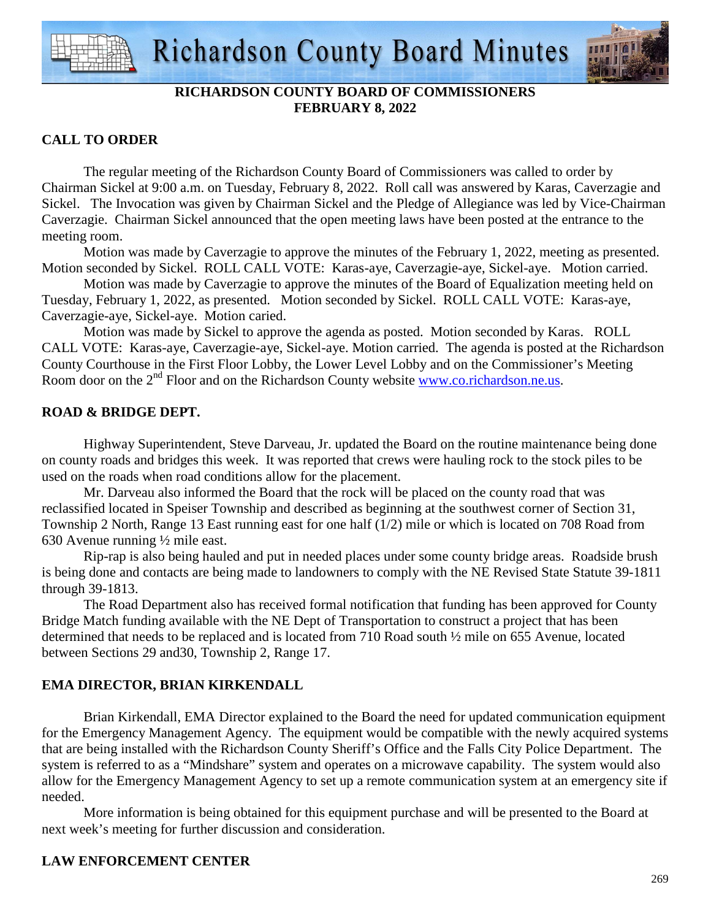

# **RICHARDSON COUNTY BOARD OF COMMISSIONERS FEBRUARY 8, 2022**

## **CALL TO ORDER**

 The regular meeting of the Richardson County Board of Commissioners was called to order by Chairman Sickel at 9:00 a.m. on Tuesday, February 8, 2022. Roll call was answered by Karas, Caverzagie and Sickel. The Invocation was given by Chairman Sickel and the Pledge of Allegiance was led by Vice-Chairman Caverzagie. Chairman Sickel announced that the open meeting laws have been posted at the entrance to the meeting room.

 Motion was made by Caverzagie to approve the minutes of the February 1, 2022, meeting as presented. Motion seconded by Sickel. ROLL CALL VOTE: Karas-aye, Caverzagie-aye, Sickel-aye. Motion carried.

 Motion was made by Caverzagie to approve the minutes of the Board of Equalization meeting held on Tuesday, February 1, 2022, as presented. Motion seconded by Sickel. ROLL CALL VOTE: Karas-aye, Caverzagie-aye, Sickel-aye. Motion caried.

 Motion was made by Sickel to approve the agenda as posted. Motion seconded by Karas. ROLL CALL VOTE: Karas-aye, Caverzagie-aye, Sickel-aye. Motion carried. The agenda is posted at the Richardson County Courthouse in the First Floor Lobby, the Lower Level Lobby and on the Commissioner's Meeting Room door on the 2<sup>nd</sup> Floor and on the Richardson County website www.co.richardson.ne.us.

## **ROAD & BRIDGE DEPT.**

 Highway Superintendent, Steve Darveau, Jr. updated the Board on the routine maintenance being done on county roads and bridges this week. It was reported that crews were hauling rock to the stock piles to be used on the roads when road conditions allow for the placement.

Mr. Darveau also informed the Board that the rock will be placed on the county road that was reclassified located in Speiser Township and described as beginning at the southwest corner of Section 31, Township 2 North, Range 13 East running east for one half (1/2) mile or which is located on 708 Road from 630 Avenue running ½ mile east.

Rip-rap is also being hauled and put in needed places under some county bridge areas. Roadside brush is being done and contacts are being made to landowners to comply with the NE Revised State Statute 39-1811 through 39-1813.

 The Road Department also has received formal notification that funding has been approved for County Bridge Match funding available with the NE Dept of Transportation to construct a project that has been determined that needs to be replaced and is located from 710 Road south ½ mile on 655 Avenue, located between Sections 29 and30, Township 2, Range 17.

# **EMA DIRECTOR, BRIAN KIRKENDALL**

 Brian Kirkendall, EMA Director explained to the Board the need for updated communication equipment for the Emergency Management Agency. The equipment would be compatible with the newly acquired systems that are being installed with the Richardson County Sheriff's Office and the Falls City Police Department. The system is referred to as a "Mindshare" system and operates on a microwave capability. The system would also allow for the Emergency Management Agency to set up a remote communication system at an emergency site if needed.

 More information is being obtained for this equipment purchase and will be presented to the Board at next week's meeting for further discussion and consideration.

# **LAW ENFORCEMENT CENTER**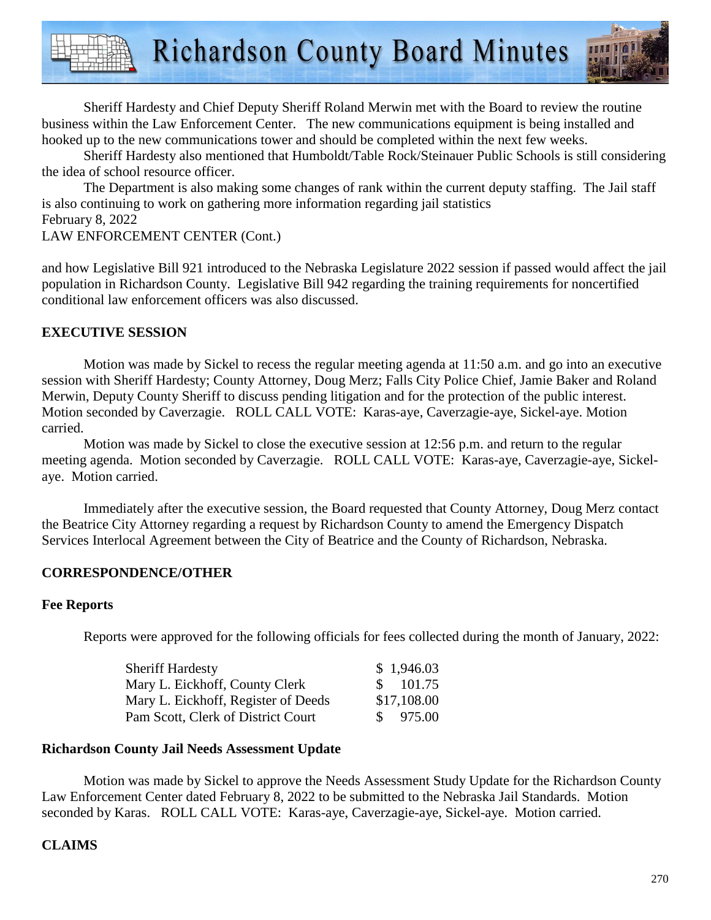Sheriff Hardesty and Chief Deputy Sheriff Roland Merwin met with the Board to review the routine business within the Law Enforcement Center. The new communications equipment is being installed and hooked up to the new communications tower and should be completed within the next few weeks.

Sheriff Hardesty also mentioned that Humboldt/Table Rock/Steinauer Public Schools is still considering the idea of school resource officer.

The Department is also making some changes of rank within the current deputy staffing. The Jail staff is also continuing to work on gathering more information regarding jail statistics February 8, 2022 LAW ENFORCEMENT CENTER (Cont.)

and how Legislative Bill 921 introduced to the Nebraska Legislature 2022 session if passed would affect the jail population in Richardson County. Legislative Bill 942 regarding the training requirements for noncertified conditional law enforcement officers was also discussed.

## **EXECUTIVE SESSION**

 Motion was made by Sickel to recess the regular meeting agenda at 11:50 a.m. and go into an executive session with Sheriff Hardesty; County Attorney, Doug Merz; Falls City Police Chief, Jamie Baker and Roland Merwin, Deputy County Sheriff to discuss pending litigation and for the protection of the public interest. Motion seconded by Caverzagie. ROLL CALL VOTE: Karas-aye, Caverzagie-aye, Sickel-aye. Motion carried.

 Motion was made by Sickel to close the executive session at 12:56 p.m. and return to the regular meeting agenda. Motion seconded by Caverzagie. ROLL CALL VOTE: Karas-aye, Caverzagie-aye, Sickelaye. Motion carried.

 Immediately after the executive session, the Board requested that County Attorney, Doug Merz contact the Beatrice City Attorney regarding a request by Richardson County to amend the Emergency Dispatch Services Interlocal Agreement between the City of Beatrice and the County of Richardson, Nebraska.

## **CORRESPONDENCE/OTHER**

## **Fee Reports**

Reports were approved for the following officials for fees collected during the month of January, 2022:

| <b>Sheriff Hardesty</b>             |               | \$1,946.03  |
|-------------------------------------|---------------|-------------|
| Mary L. Eickhoff, County Clerk      | $\mathcal{S}$ | 101.75      |
| Mary L. Eickhoff, Register of Deeds |               | \$17,108.00 |
| Pam Scott, Clerk of District Court  | S.            | 975.00      |

#### **Richardson County Jail Needs Assessment Update**

 Motion was made by Sickel to approve the Needs Assessment Study Update for the Richardson County Law Enforcement Center dated February 8, 2022 to be submitted to the Nebraska Jail Standards. Motion seconded by Karas. ROLL CALL VOTE: Karas-aye, Caverzagie-aye, Sickel-aye. Motion carried.

## **CLAIMS**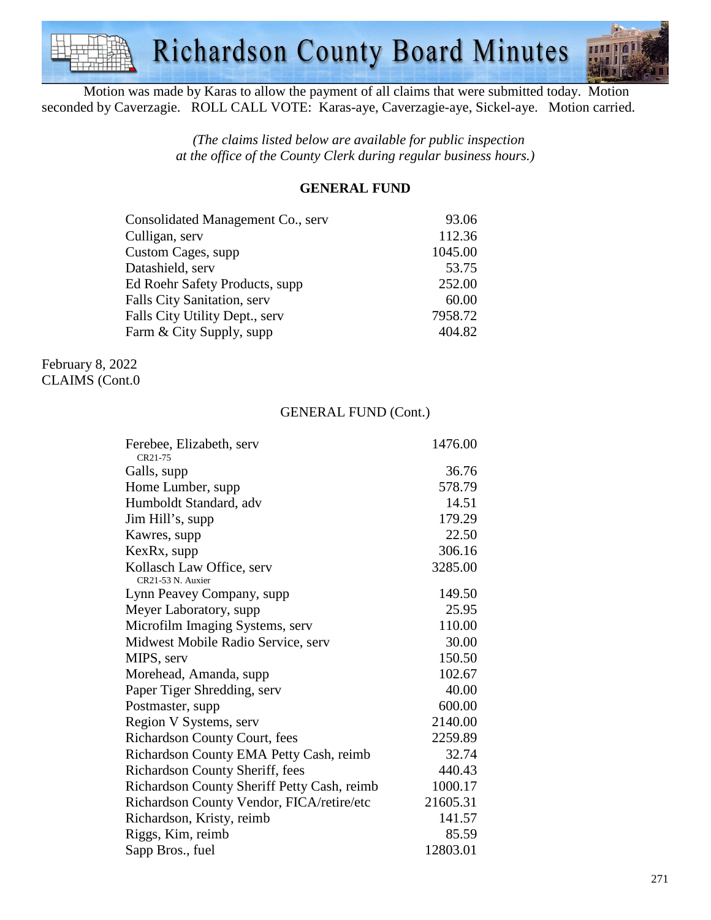

Motion was made by Karas to allow the payment of all claims that were submitted today. Motion seconded by Caverzagie. ROLL CALL VOTE: Karas-aye, Caverzagie-aye, Sickel-aye. Motion carried.

> *(The claims listed below are available for public inspection at the office of the County Clerk during regular business hours.)*

#### **GENERAL FUND**

| Consolidated Management Co., serv | 93.06   |
|-----------------------------------|---------|
| Culligan, serv                    | 112.36  |
| Custom Cages, supp                | 1045.00 |
| Datashield, serv                  | 53.75   |
| Ed Roehr Safety Products, supp    | 252.00  |
| Falls City Sanitation, serv       | 60.00   |
| Falls City Utility Dept., serv    | 7958.72 |
| Farm & City Supply, supp          | 404.82  |

February 8, 2022 CLAIMS (Cont.0

#### GENERAL FUND (Cont.)

| Ferebee, Elizabeth, serv                    | 1476.00  |
|---------------------------------------------|----------|
| CR21-75                                     |          |
| Galls, supp                                 | 36.76    |
| Home Lumber, supp                           | 578.79   |
| Humboldt Standard, adv                      | 14.51    |
| Jim Hill's, supp                            | 179.29   |
| Kawres, supp                                | 22.50    |
| KexRx, supp                                 | 306.16   |
| Kollasch Law Office, serv                   | 3285.00  |
| CR21-53 N. Auxier                           |          |
| Lynn Peavey Company, supp                   | 149.50   |
| Meyer Laboratory, supp                      | 25.95    |
| Microfilm Imaging Systems, serv             | 110.00   |
| Midwest Mobile Radio Service, serv          | 30.00    |
| MIPS, serv                                  | 150.50   |
| Morehead, Amanda, supp                      | 102.67   |
| Paper Tiger Shredding, serv                 | 40.00    |
| Postmaster, supp                            | 600.00   |
| Region V Systems, serv                      | 2140.00  |
| Richardson County Court, fees               | 2259.89  |
| Richardson County EMA Petty Cash, reimb     | 32.74    |
| Richardson County Sheriff, fees             | 440.43   |
| Richardson County Sheriff Petty Cash, reimb | 1000.17  |
| Richardson County Vendor, FICA/retire/etc   | 21605.31 |
| Richardson, Kristy, reimb                   | 141.57   |
| Riggs, Kim, reimb                           | 85.59    |
| Sapp Bros., fuel                            | 12803.01 |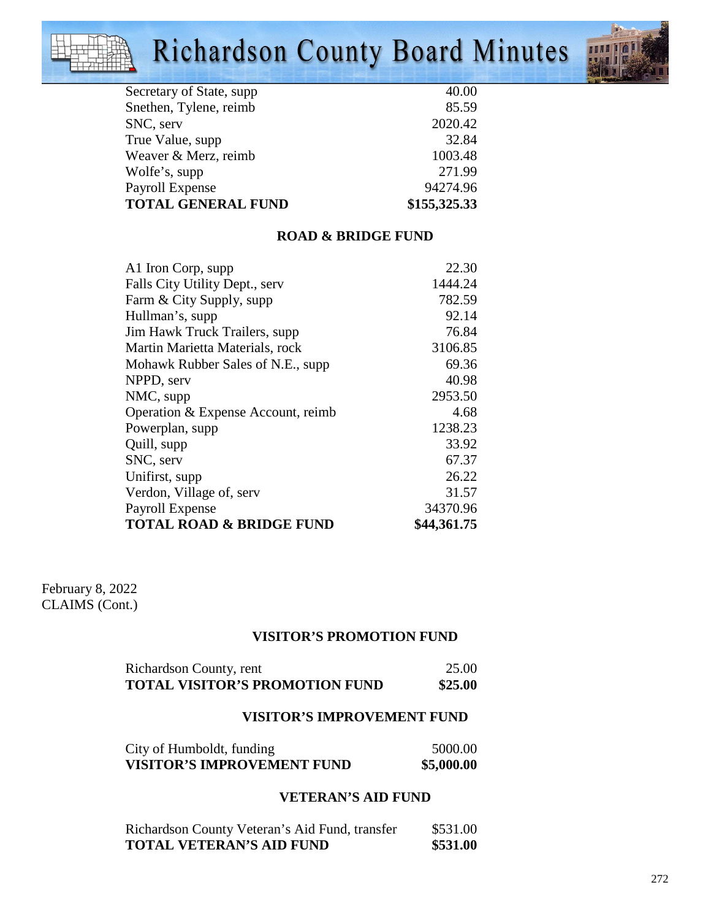# Richardson County Board Minutes



| Secretary of State, supp. | 40.00        |
|---------------------------|--------------|
| Snethen, Tylene, reimb    | 85.59        |
| SNC, serv                 | 2020.42      |
| True Value, supp          | 32.84        |
| Weaver & Merz, reimb      | 1003.48      |
| Wolfe's, supp             | 271.99       |
| Payroll Expense           | 94274.96     |
| <b>TOTAL GENERAL FUND</b> | \$155,325.33 |

## **ROAD & BRIDGE FUND**

| A1 Iron Corp, supp                  | 22.30       |
|-------------------------------------|-------------|
| Falls City Utility Dept., serv      | 1444.24     |
| Farm & City Supply, supp            | 782.59      |
| Hullman's, supp                     | 92.14       |
| Jim Hawk Truck Trailers, supp       | 76.84       |
| Martin Marietta Materials, rock     | 3106.85     |
| Mohawk Rubber Sales of N.E., supp   | 69.36       |
| NPPD, serv                          | 40.98       |
| NMC, supp                           | 2953.50     |
| Operation & Expense Account, reimb  | 4.68        |
| Powerplan, supp                     | 1238.23     |
| Quill, supp                         | 33.92       |
| SNC, serv                           | 67.37       |
| Unifirst, supp                      | 26.22       |
| Verdon, Village of, serv            | 31.57       |
| Payroll Expense                     | 34370.96    |
| <b>TOTAL ROAD &amp; BRIDGE FUND</b> | \$44,361.75 |

February 8, 2022 CLAIMS (Cont.)

## **VISITOR'S PROMOTION FUND**

| Richardson County, rent               | 25.00   |
|---------------------------------------|---------|
| <b>TOTAL VISITOR'S PROMOTION FUND</b> | \$25.00 |

#### **VISITOR'S IMPROVEMENT FUND**

| City of Humboldt, funding         | 5000.00    |
|-----------------------------------|------------|
| <b>VISITOR'S IMPROVEMENT FUND</b> | \$5,000.00 |

#### **VETERAN'S AID FUND**

| Richardson County Veteran's Aid Fund, transfer | \$531.00 |
|------------------------------------------------|----------|
| <b>TOTAL VETERAN'S AID FUND</b>                | \$531.00 |